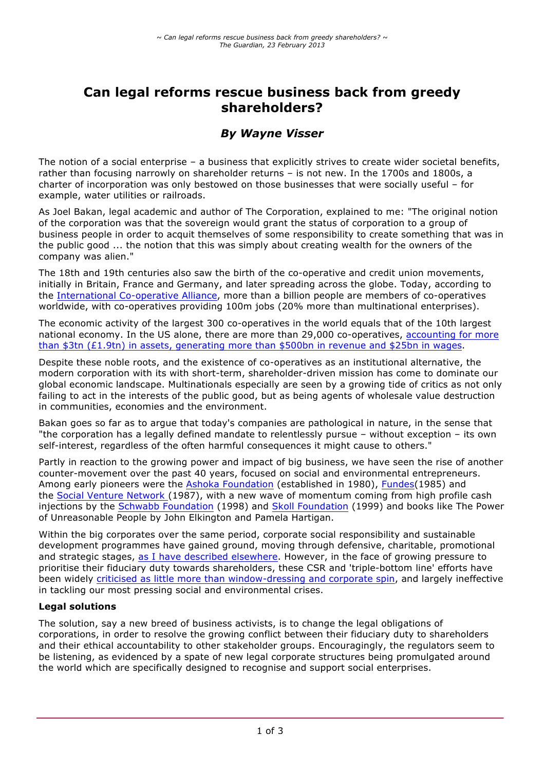# **Can legal reforms rescue business back from greedy shareholders?**

# *By Wayne Visser*

The notion of a social enterprise – a business that explicitly strives to create wider societal benefits, rather than focusing narrowly on shareholder returns – is not new. In the 1700s and 1800s, a charter of incorporation was only bestowed on those businesses that were socially useful – for example, water utilities or railroads.

As Joel Bakan, legal academic and author of The Corporation, explained to me: "The original notion of the corporation was that the sovereign would grant the status of corporation to a group of business people in order to acquit themselves of some responsibility to create something that was in the public good ... the notion that this was simply about creating wealth for the owners of the company was alien."

The 18th and 19th centuries also saw the birth of the co-operative and credit union movements, initially in Britain, France and Germany, and later spreading across the globe. Today, according to the International Co-operative Alliance, more than a billion people are members of co-operatives worldwide, with co-operatives providing 100m jobs (20% more than multinational enterprises).

The economic activity of the largest 300 co-operatives in the world equals that of the 10th largest national economy. In the US alone, there are more than 29,000 co-operatives, accounting for more than \$3tn (£1.9tn) in assets, generating more than \$500bn in revenue and \$25bn in wages.

Despite these noble roots, and the existence of co-operatives as an institutional alternative, the modern corporation with its with short-term, shareholder-driven mission has come to dominate our global economic landscape. Multinationals especially are seen by a growing tide of critics as not only failing to act in the interests of the public good, but as being agents of wholesale value destruction in communities, economies and the environment.

Bakan goes so far as to argue that today's companies are pathological in nature, in the sense that "the corporation has a legally defined mandate to relentlessly pursue – without exception – its own self-interest, regardless of the often harmful consequences it might cause to others."

Partly in reaction to the growing power and impact of big business, we have seen the rise of another counter-movement over the past 40 years, focused on social and environmental entrepreneurs. Among early pioneers were the Ashoka Foundation (established in 1980), Fundes(1985) and the Social Venture Network (1987), with a new wave of momentum coming from high profile cash injections by the Schwabb Foundation (1998) and Skoll Foundation (1999) and books like The Power of Unreasonable People by John Elkington and Pamela Hartigan.

Within the big corporates over the same period, corporate social responsibility and sustainable development programmes have gained ground, moving through defensive, charitable, promotional and strategic stages, as I have described elsewhere. However, in the face of growing pressure to prioritise their fiduciary duty towards shareholders, these CSR and 'triple-bottom line' efforts have been widely criticised as little more than window-dressing and corporate spin, and largely ineffective in tackling our most pressing social and environmental crises.

#### **Legal solutions**

The solution, say a new breed of business activists, is to change the legal obligations of corporations, in order to resolve the growing conflict between their fiduciary duty to shareholders and their ethical accountability to other stakeholder groups. Encouragingly, the regulators seem to be listening, as evidenced by a spate of new legal corporate structures being promulgated around the world which are specifically designed to recognise and support social enterprises.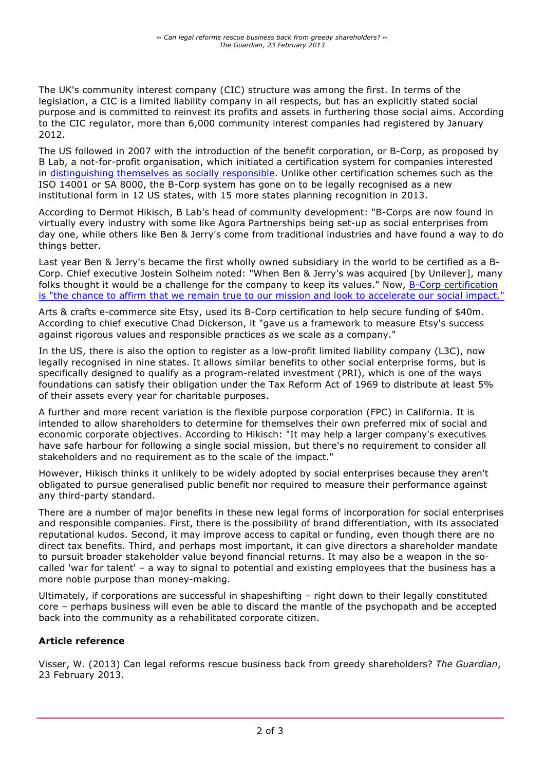The UK's community interest company (CIC) structure was among the first. In terms of the legislation, a CIC is a limited liability company in all respects, but has an explicitly stated social purpose and is committed to reinvest its profits and assets in furthering those social aims. According to the CIC regulator, more than 6,000 community interest companies had registered by January 2012.

The US followed in 2007 with the introduction of the benefit corporation, or B-Corp, as proposed by B Lab, a not-for-profit organisation, which initiated a certification system for companies interested in distinguishing themselves as socially responsible. Unlike other certification schemes such as the ISO 14001 or SA 8000, the B-Corp system has gone on to be legally recognised as a new institutional form in 12 US states, with 15 more states planning recognition in 2013.

According to Dermot Hikisch, B Lab's head of community development: "B-Corps are now found in virtually every industry with some like Agora Partnerships being set-up as social enterprises from day one, while others like Ben & Jerry's come from traditional industries and have found a way to do things better.

Last year Ben & Jerry's became the first wholly owned subsidiary in the world to be certified as a B-Corp. Chief executive Jostein Solheim noted: "When Ben & Jerry's was acquired [by Unilever], many folks thought it would be a challenge for the company to keep its values." Now, B-Corp certification is "the chance to affirm that we remain true to our mission and look to accelerate our social impact."

Arts & crafts e-commerce site Etsy, used its B-Corp certification to help secure funding of \$40m. According to chief executive Chad Dickerson, it "gave us a framework to measure Etsy's success against rigorous values and responsible practices as we scale as a company."

In the US, there is also the option to register as a low-profit limited liability company (L3C), now legally recognised in nine states. It allows similar benefits to other social enterprise forms, but is specifically designed to qualify as a program-related investment (PRI), which is one of the ways foundations can satisfy their obligation under the Tax Reform Act of 1969 to distribute at least 5% of their assets every year for charitable purposes.

A further and more recent variation is the flexible purpose corporation (FPC) in California. It is intended to allow shareholders to determine for themselves their own preferred mix of social and economic corporate objectives. According to Hikisch: "It may help a larger company's executives have safe harbour for following a single social mission, but there's no requirement to consider all stakeholders and no requirement as to the scale of the impact."

However, Hikisch thinks it unlikely to be widely adopted by social enterprises because they aren't obligated to pursue generalised public benefit nor required to measure their performance against any third-party standard.

There are a number of major benefits in these new legal forms of incorporation for social enterprises and responsible companies. First, there is the possibility of brand differentiation, with its associated reputational kudos. Second, it may improve access to capital or funding, even though there are no direct tax benefits. Third, and perhaps most important, it can give directors a shareholder mandate to pursuit broader stakeholder value beyond financial returns. It may also be a weapon in the socalled 'war for talent' – a way to signal to potential and existing employees that the business has a more noble purpose than money-making.

Ultimately, if corporations are successful in shapeshifting – right down to their legally constituted core – perhaps business will even be able to discard the mantle of the psychopath and be accepted back into the community as a rehabilitated corporate citizen.

# **Article reference**

Visser, W. (2013) Can legal reforms rescue business back from greedy shareholders? *The Guardian*, 23 February 2013.